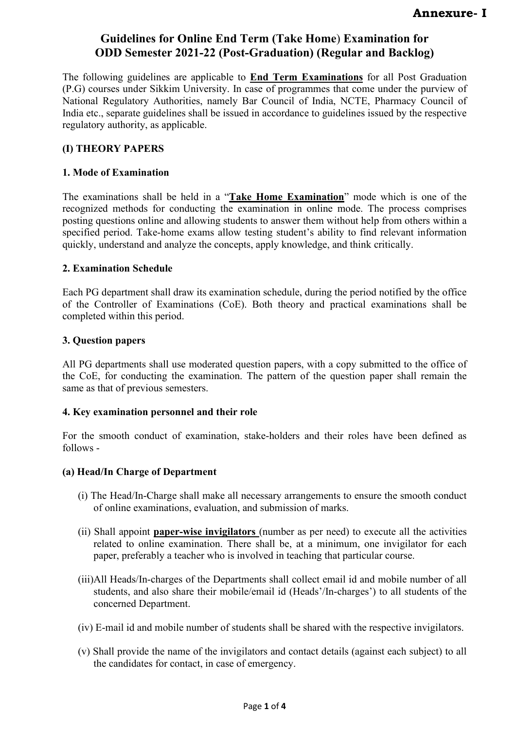The following guidelines are applicable to **End Term Examinations** for all Post Graduation (P.G) courses under Sikkim University. In case of programmes that come under the purview of National Regulatory Authorities, namely Bar Council of India, NCTE, Pharmacy Council of India etc., separate guidelines shall be issued in accordance to guidelines issued by the respective regulatory authority, as applicable.

## **(I) THEORY PAPERS**

### **1. Mode of Examination**

The examinations shall be held in a "**Take Home Examination**" mode which is one of the recognized methods for conducting the examination in online mode. The process comprises posting questions online and allowing students to answer them without help from others within a specified period. Take-home exams allow testing student's ability to find relevant information quickly, understand and analyze the concepts, apply knowledge, and think critically.

### **2. Examination Schedule**

Each PG department shall draw its examination schedule, during the period notified by the office of the Controller of Examinations (CoE). Both theory and practical examinations shall be completed within this period.

### **3. Question papers**

All PG departments shall use moderated question papers, with a copy submitted to the office of the CoE, for conducting the examination. The pattern of the question paper shall remain the same as that of previous semesters.

#### **4. Key examination personnel and their role**

For the smooth conduct of examination, stake-holders and their roles have been defined as follows -

## **(a) Head/In Charge of Department**

- (i) The Head/In-Charge shall make all necessary arrangements to ensure the smooth conduct of online examinations, evaluation, and submission of marks.
- (ii) Shall appoint **paper-wise invigilators** (number as per need) to execute all the activities related to online examination. There shall be, at a minimum, one invigilator for each paper, preferably a teacher who is involved in teaching that particular course.
- (iii)All Heads/In-charges of the Departments shall collect email id and mobile number of all students, and also share their mobile/email id (Heads'/In-charges') to all students of the concerned Department.
- (iv) E-mail id and mobile number of students shall be shared with the respective invigilators.
- (v) Shall provide the name of the invigilators and contact details (against each subject) to all the candidates for contact, in case of emergency.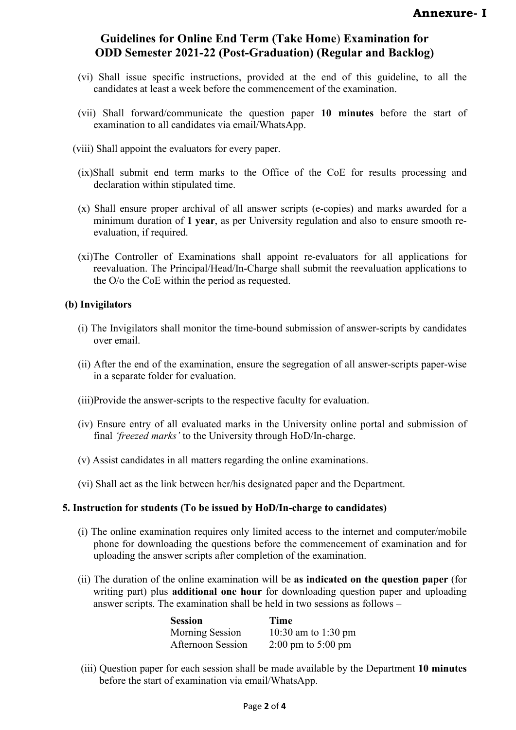- (vi) Shall issue specific instructions, provided at the end of this guideline, to all the candidates at least a week before the commencement of the examination.
- (vii) Shall forward/communicate the question paper **10 minutes** before the start of examination to all candidates via email/WhatsApp.
- (viii) Shall appoint the evaluators for every paper.
- (ix)Shall submit end term marks to the Office of the CoE for results processing and declaration within stipulated time.
- (x) Shall ensure proper archival of all answer scripts (e-copies) and marks awarded for a minimum duration of **1 year**, as per University regulation and also to ensure smooth reevaluation, if required.
- (xi)The Controller of Examinations shall appoint re-evaluators for all applications for reevaluation. The Principal/Head/In-Charge shall submit the reevaluation applications to the O/o the CoE within the period as requested.

#### **(b) Invigilators**

- (i) The Invigilators shall monitor the time-bound submission of answer-scripts by candidates over email.
- (ii) After the end of the examination, ensure the segregation of all answer-scripts paper-wise in a separate folder for evaluation.
- (iii)Provide the answer-scripts to the respective faculty for evaluation.
- (iv) Ensure entry of all evaluated marks in the University online portal and submission of final *'freezed marks'* to the University through HoD/In-charge.
- (v) Assist candidates in all matters regarding the online examinations.
- (vi) Shall act as the link between her/his designated paper and the Department.

#### **5. Instruction for students (To be issued by HoD/In-charge to candidates)**

- (i) The online examination requires only limited access to the internet and computer/mobile phone for downloading the questions before the commencement of examination and for uploading the answer scripts after completion of the examination.
- (ii) The duration of the online examination will be **as indicated on the question paper** (for writing part) plus **additional one hour** for downloading question paper and uploading answer scripts. The examination shall be held in two sessions as follows –

| Session                | Time                                   |
|------------------------|----------------------------------------|
| <b>Morning Session</b> | 10:30 am to 1:30 pm                    |
| Afternoon Session      | $2:00 \text{ pm}$ to $5:00 \text{ pm}$ |

(iii) Question paper for each session shall be made available by the Department **10 minutes** before the start of examination via email/WhatsApp.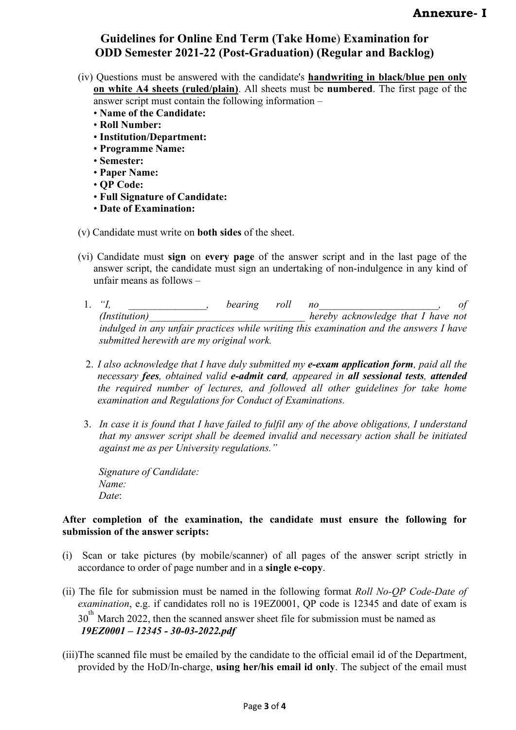- (iv) Questions must be answered with the candidate's **handwriting in black/blue pen only on white A4 sheets (ruled/plain)**. All sheets must be **numbered**. The first page of the answer script must contain the following information –
	- **Name of the Candidate:**
	- **Roll Number:**
	- **Institution/Department:**
	- **Programme Name:**
	- **Semester:**
	- **Paper Name:**
	- **QP Code:**
	- **Full Signature of Candidate:**
	- **Date of Examination:**
- (v) Candidate must write on **both sides** of the sheet.
- (vi) Candidate must **sign** on **every page** of the answer script and in the last page of the answer script, the candidate must sign an undertaking of non-indulgence in any kind of unfair means as follows –
	- 1. *"I, \_\_\_\_\_\_\_\_\_\_\_\_\_\_\_, bearing roll no\_\_\_\_\_\_\_\_\_\_\_\_\_\_\_\_\_\_\_\_\_\_\_, of (Institution)\_\_\_\_\_\_\_\_\_\_\_\_\_\_\_\_\_\_\_\_\_\_\_\_\_\_\_\_\_\_ hereby acknowledge that I have not*  indulged in any unfair practices while writing this examination and the answers I have *submitted herewith are my original work.*
	- 2. *I also acknowledge that I have duly submitted my e-exam application form, paid all the necessary fees, obtained valid e-admit card, appeared in all sessional tests, attended the required number of lectures, and followed all other guidelines for take home examination and Regulations for Conduct of Examinations.*
	- 3. *In case it is found that I have failed to fulfil any of the above obligations, I understand that my answer script shall be deemed invalid and necessary action shall be initiated against me as per University regulations."*

*Signature of Candidate: Name: Date*:

## **After completion of the examination, the candidate must ensure the following for submission of the answer scripts:**

- (i) Scan or take pictures (by mobile/scanner) of all pages of the answer script strictly in accordance to order of page number and in a **single e-copy**.
- (ii) The file for submission must be named in the following format *Roll No-QP Code-Date of examination*, e.g. if candidates roll no is 19EZ0001, QP code is 12345 and date of exam is 30<sup>th</sup> March 2022, then the scanned answer sheet file for submission must be named as *19EZ0001 – 12345 - 30-03-2022.pdf*
- (iii)The scanned file must be emailed by the candidate to the official email id of the Department, provided by the HoD/In-charge, **using her/his email id only**. The subject of the email must